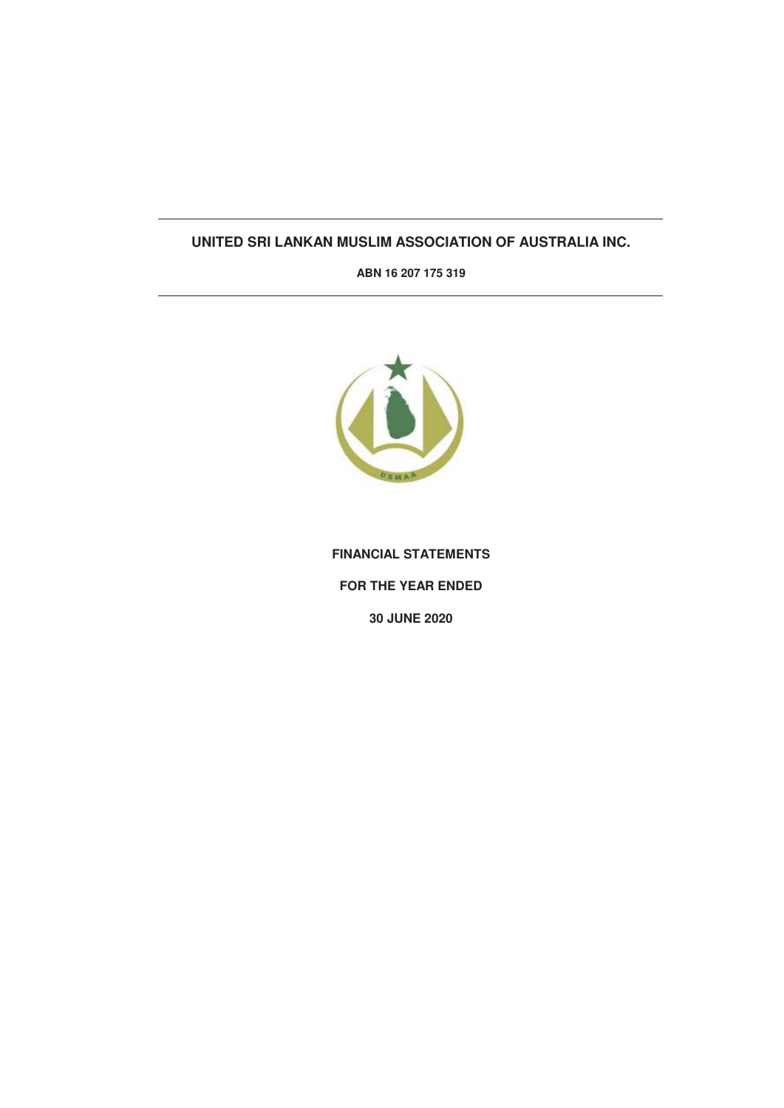## **UNITED SRI LANKAN MUSLIM ASSOCIATION OF AUSTRALIA INC.**

**ABN 16 207 175 319**



**FINANCIAL STATEMENTS FOR THE YEAR ENDED 30 JUNE 2020**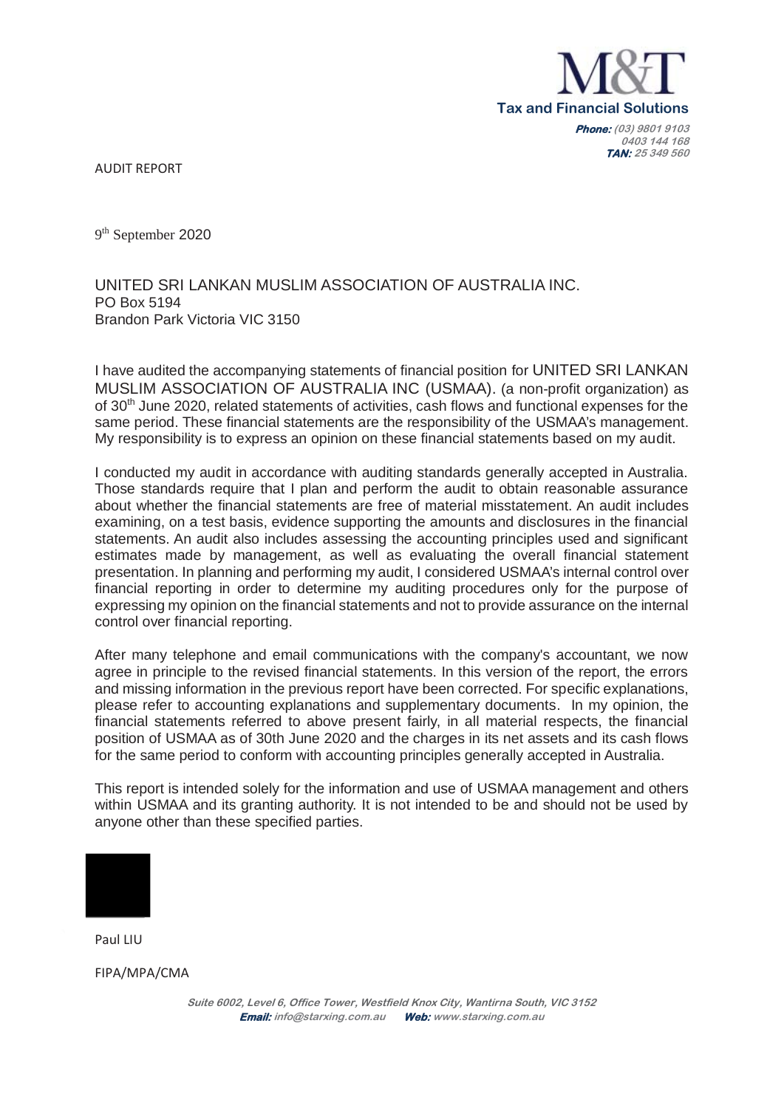

**Phone: (03) 9801 9103 0403 144 168 TAN: 25 349 560** 

AUDIT REPORT

9<sup>th</sup> September 2020

### UNITED SRI LANKAN MUSLIM ASSOCIATION OF AUSTRALIA INC. PO Box 5194 Brandon Park Victoria VIC 3150

I have audited the accompanying statements of financial position for UNITED SRI LANKAN MUSLIM ASSOCIATION OF AUSTRALIA INC (USMAA). (a non-profit organization) as of 30<sup>th</sup> June 2020, related statements of activities, cash flows and functional expenses for the same period. These financial statements are the responsibility of the USMAA's management. My responsibility is to express an opinion on these financial statements based on my audit.

I conducted my audit in accordance with auditing standards generally accepted in Australia. Those standards require that I plan and perform the audit to obtain reasonable assurance about whether the financial statements are free of material misstatement. An audit includes examining, on a test basis, evidence supporting the amounts and disclosures in the financial statements. An audit also includes assessing the accounting principles used and significant estimates made by management, as well as evaluating the overall financial statement presentation. In planning and performing my audit, I considered USMAA's internal control over financial reporting in order to determine my auditing procedures only for the purpose of expressing my opinion on the financial statements and not to provide assurance on the internal control over financial reporting.

After many telephone and email communications with the company's accountant, we now agree in principle to the revised financial statements. In this version of the report, the errors and missing information in the previous report have been corrected. For specific explanations, please refer to accounting explanations and supplementary documents. In my opinion, the financial statements referred to above present fairly, in all material respects, the financial position of USMAA as of 30th June 2020 and the charges in its net assets and its cash flows for the same period to conform with accounting principles generally accepted in Australia.

This report is intended solely for the information and use of USMAA management and others within USMAA and its granting authority. It is not intended to be and should not be used by anyone other than these specified parties.



Paul LIU

FIPA/MPA/CMA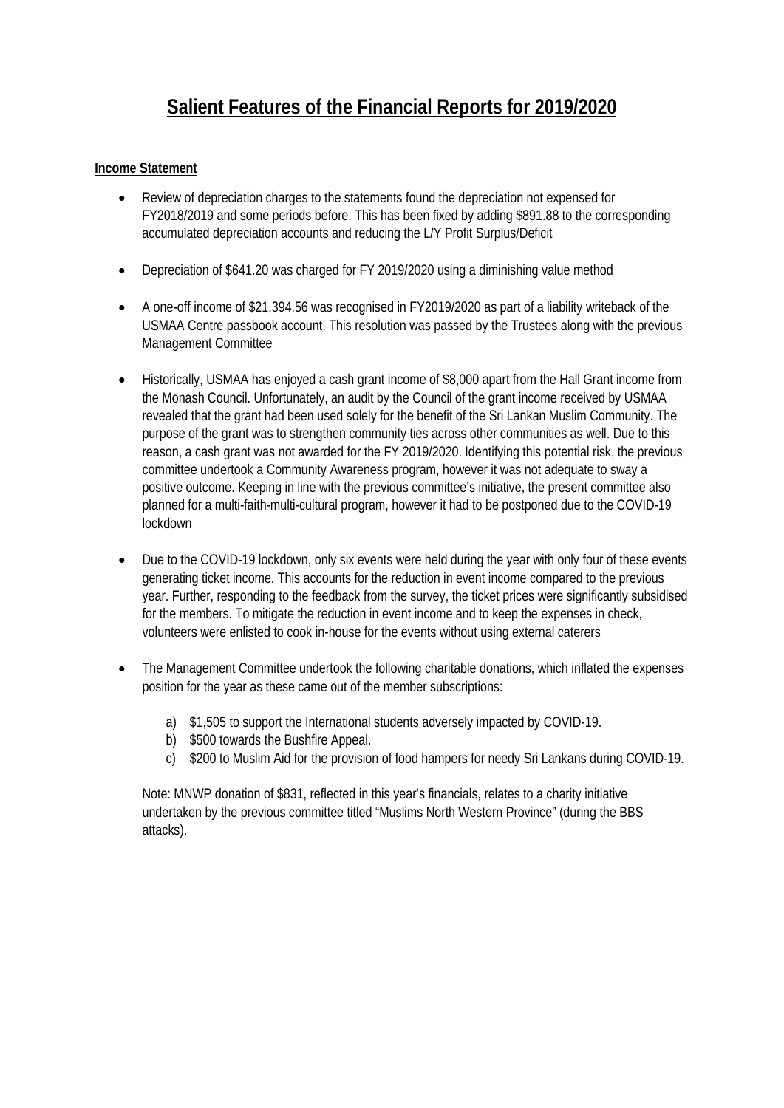## **Income Statement**

- Review of depreciation charges to the statements found the depreciation not expensed for FY2018/2019 and some periods before. This has been fixed by adding \$891.88 to the corresponding accumulated depreciation accounts and reducing the L/Y Profit Surplus/Deficit
- Depreciation of \$641.20 was charged for FY 2019/2020 using a diminishing value method
- A one-off income of \$21,394.56 was recognised in FY2019/2020 as part of a liability writeback of the USMAA Centre passbook account. This resolution was passed by the Trustees along with the previous Management Committee
- Historically, USMAA has enjoyed a cash grant income of \$8,000 apart from the Hall Grant income from the Monash Council. Unfortunately, an audit by the Council of the grant income received by USMAA revealed that the grant had been used solely for the benefit of the Sri Lankan Muslim Community. The purpose of the grant was to strengthen community ties across other communities as well. Due to this reason, a cash grant was not awarded for the FY 2019/2020. Identifying this potential risk, the previous committee undertook a Community Awareness program, however it was not adequate to sway a positive outcome. Keeping in line with the previous committee's initiative, the present committee also planned for a multi-faith-multi-cultural program, however it had to be postponed due to the COVID-19 lockdown
- Due to the COVID-19 lockdown, only six events were held during the year with only four of these events generating ticket income. This accounts for the reduction in event income compared to the previous year. Further, responding to the feedback from the survey, the ticket prices were significantly subsidised for the members. To mitigate the reduction in event income and to keep the expenses in check, volunteers were enlisted to cook in-house for the events without using external caterers
- The Management Committee undertook the following charitable donations, which inflated the expenses position for the year as these came out of the member subscriptions:
	- a) \$1,505 to support the International students adversely impacted by COVID-19.
	- b) \$500 towards the Bushfire Appeal.
	- c) \$200 to Muslim Aid for the provision of food hampers for needy Sri Lankans during COVID-19.

Note: MNWP donation of \$831, reflected in this year's financials, relates to a charity initiative undertaken by the previous committee titled "Muslims North Western Province" (during the BBS attacks).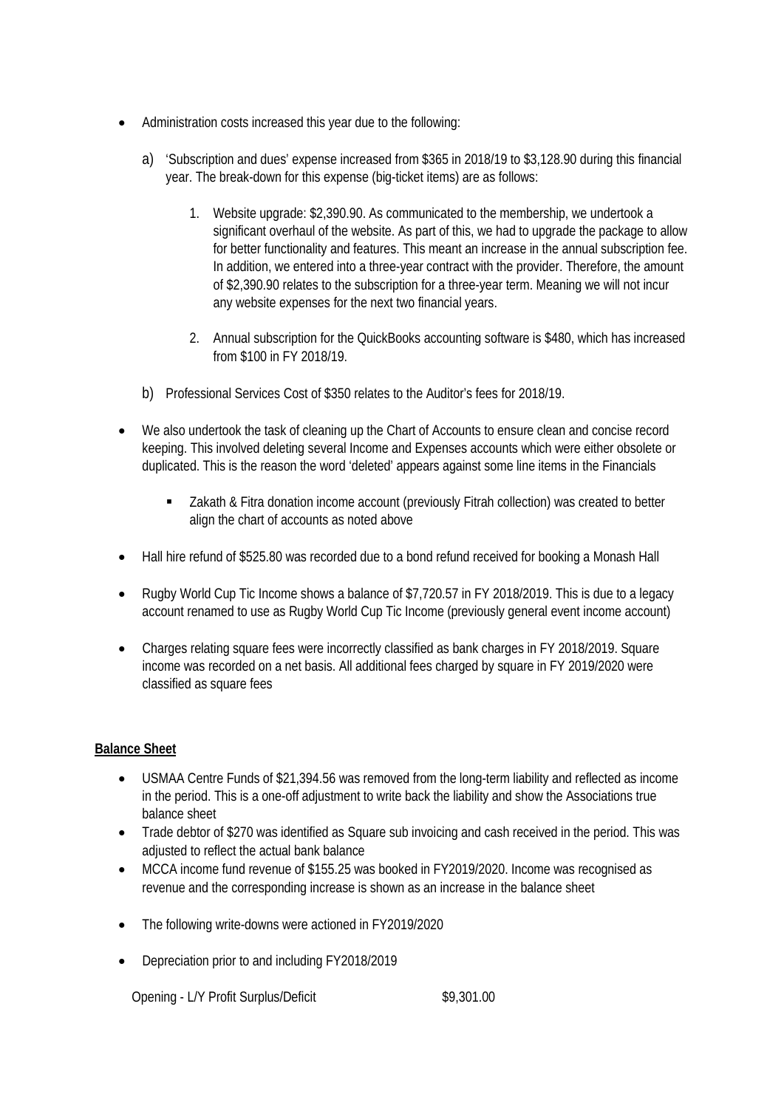- Administration costs increased this year due to the following:
	- a) 'Subscription and dues' expense increased from \$365 in 2018/19 to \$3,128.90 during this financial year. The break-down for this expense (big-ticket items) are as follows:
		- 1. Website upgrade: \$2,390.90. As communicated to the membership, we undertook a significant overhaul of the website. As part of this, we had to upgrade the package to allow for better functionality and features. This meant an increase in the annual subscription fee. In addition, we entered into a three-year contract with the provider. Therefore, the amount of \$2,390.90 relates to the subscription for a three-year term. Meaning we will not incur any website expenses for the next two financial years.
		- 2. Annual subscription for the QuickBooks accounting software is \$480, which has increased from \$100 in FY 2018/19.
	- b) Professional Services Cost of \$350 relates to the Auditor's fees for 2018/19.
- We also undertook the task of cleaning up the Chart of Accounts to ensure clean and concise record keeping. This involved deleting several Income and Expenses accounts which were either obsolete or duplicated. This is the reason the word 'deleted' appears against some line items in the Financials
	- Zakath & Fitra donation income account (previously Fitrah collection) was created to better align the chart of accounts as noted above
- Hall hire refund of \$525.80 was recorded due to a bond refund received for booking a Monash Hall
- Rugby World Cup Tic Income shows a balance of \$7,720.57 in FY 2018/2019. This is due to a legacy account renamed to use as Rugby World Cup Tic Income (previously general event income account)
- Charges relating square fees were incorrectly classified as bank charges in FY 2018/2019. Square income was recorded on a net basis. All additional fees charged by square in FY 2019/2020 were classified as square fees

### **Balance Sheet**

- USMAA Centre Funds of \$21,394.56 was removed from the long-term liability and reflected as income in the period. This is a one-off adjustment to write back the liability and show the Associations true balance sheet
- Trade debtor of \$270 was identified as Square sub invoicing and cash received in the period. This was adjusted to reflect the actual bank balance
- MCCA income fund revenue of \$155.25 was booked in FY2019/2020. Income was recognised as revenue and the corresponding increase is shown as an increase in the balance sheet
- The following write-downs were actioned in FY2019/2020
- Depreciation prior to and including FY2018/2019

Opening - L/Y Profit Surplus/Deficit  $$9,301.00$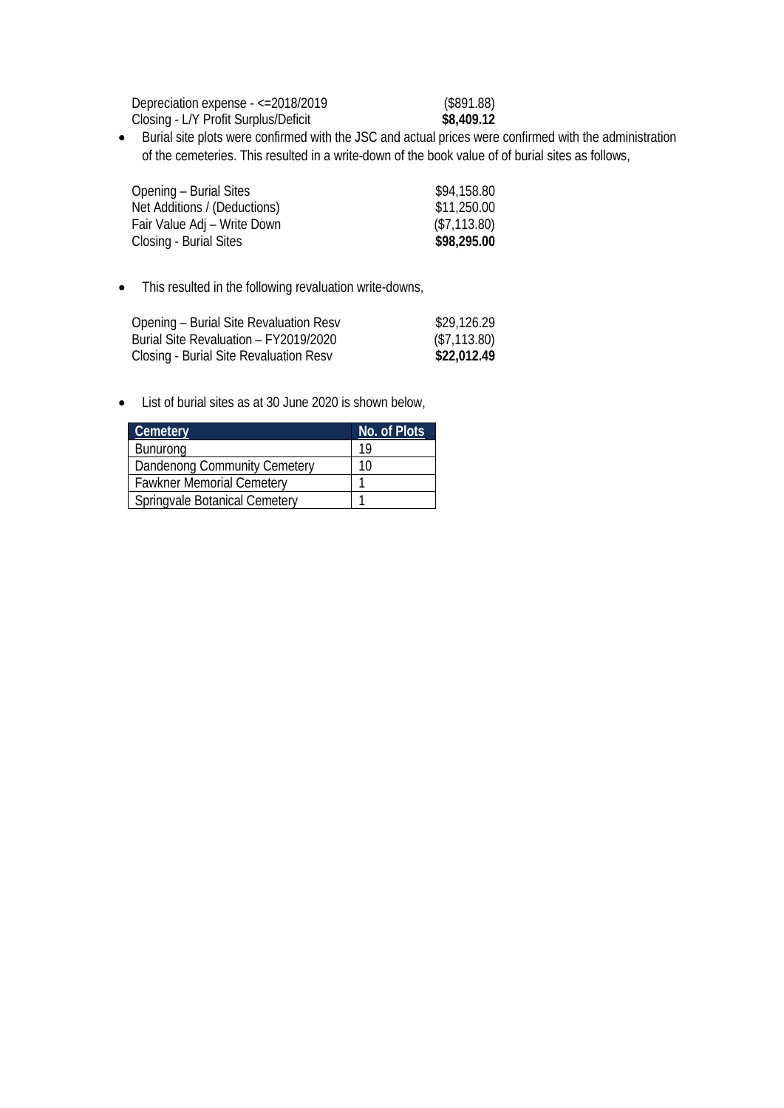Depreciation expense - <=2018/2019 (\$891.88) Closing - L/Y Profit Surplus/Deficit **\$8,409.12**

• Burial site plots were confirmed with the JSC and actual prices were confirmed with the administration of the cemeteries. This resulted in a write-down of the book value of of burial sites as follows,

| Opening – Burial Sites       | \$94,158.80  |
|------------------------------|--------------|
| Net Additions / (Deductions) | \$11,250.00  |
| Fair Value Adj - Write Down  | (\$7,113.80) |
| Closing - Burial Sites       | \$98,295.00  |

## • This resulted in the following revaluation write-downs,

| Opening - Burial Site Revaluation Resv | \$29,126.29  |
|----------------------------------------|--------------|
| Burial Site Revaluation - FY2019/2020  | (\$7,113.80) |
| Closing - Burial Site Revaluation Resv | \$22,012.49  |

• List of burial sites as at 30 June 2020 is shown below,

| <b>Cemetery</b>                  | No. of Plots |
|----------------------------------|--------------|
| <b>Bunurong</b>                  | 10           |
| Dandenong Community Cemetery     | 10           |
| <b>Fawkner Memorial Cemetery</b> |              |
| Springvale Botanical Cemetery    |              |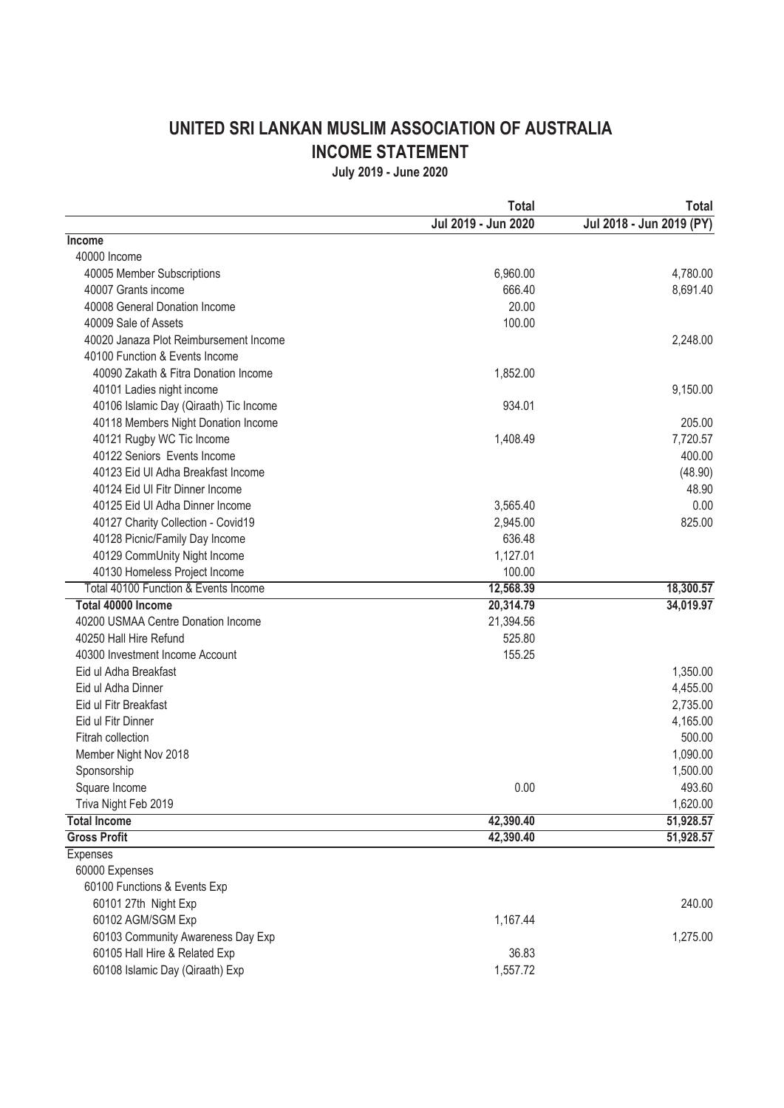## UNITED SRI LANKAN MUSLIM ASSOCIATION OF AUSTRALIA **INCOME STATEMENT**

July 2019 - June 2020

|                                        | <b>Total</b>        | <b>Total</b>             |
|----------------------------------------|---------------------|--------------------------|
|                                        | Jul 2019 - Jun 2020 | Jul 2018 - Jun 2019 (PY) |
| Income                                 |                     |                          |
| 40000 Income                           |                     |                          |
| 40005 Member Subscriptions             | 6,960.00            | 4,780.00                 |
| 40007 Grants income                    | 666.40              | 8,691.40                 |
| 40008 General Donation Income          | 20.00               |                          |
| 40009 Sale of Assets                   | 100.00              |                          |
| 40020 Janaza Plot Reimbursement Income |                     | 2,248.00                 |
| 40100 Function & Events Income         |                     |                          |
| 40090 Zakath & Fitra Donation Income   | 1,852.00            |                          |
| 40101 Ladies night income              |                     | 9,150.00                 |
| 40106 Islamic Day (Qiraath) Tic Income | 934.01              |                          |
| 40118 Members Night Donation Income    |                     | 205.00                   |
| 40121 Rugby WC Tic Income              | 1,408.49            | 7,720.57                 |
| 40122 Seniors Events Income            |                     | 400.00                   |
| 40123 Eid UI Adha Breakfast Income     |                     | (48.90)                  |
| 40124 Eid UI Fitr Dinner Income        |                     | 48.90                    |
| 40125 Eid UI Adha Dinner Income        | 3,565.40            | 0.00                     |
| 40127 Charity Collection - Covid19     | 2,945.00            | 825.00                   |
| 40128 Picnic/Family Day Income         | 636.48              |                          |
| 40129 CommUnity Night Income           | 1,127.01            |                          |
| 40130 Homeless Project Income          | 100.00              |                          |
| Total 40100 Function & Events Income   | 12,568.39           | 18,300.57                |
| Total 40000 Income                     | 20,314.79           | 34,019.97                |
| 40200 USMAA Centre Donation Income     | 21,394.56           |                          |
| 40250 Hall Hire Refund                 | 525.80              |                          |
| 40300 Investment Income Account        | 155.25              |                          |
| Eid ul Adha Breakfast                  |                     | 1,350.00                 |
| Eid ul Adha Dinner                     |                     | 4,455.00                 |
| Eid ul Fitr Breakfast                  |                     | 2,735.00                 |
| Eid ul Fitr Dinner                     |                     | 4,165.00                 |
| Fitrah collection                      |                     | 500.00                   |
| Member Night Nov 2018                  |                     | 1,090.00                 |
| Sponsorship                            |                     | 1,500.00                 |
| Square Income                          | 0.00                | 493.60                   |
| Triva Night Feb 2019                   |                     | 1,620.00                 |
| <b>Total Income</b>                    | 42,390.40           | 51,928.57                |
| <b>Gross Profit</b>                    | 42,390.40           | 51,928.57                |
| Expenses                               |                     |                          |
| 60000 Expenses                         |                     |                          |
| 60100 Functions & Events Exp           |                     |                          |
| 60101 27th Night Exp                   |                     | 240.00                   |
| 60102 AGM/SGM Exp                      | 1,167.44            |                          |
| 60103 Community Awareness Day Exp      |                     | 1,275.00                 |
| 60105 Hall Hire & Related Exp          | 36.83               |                          |
| 60108 Islamic Day (Qiraath) Exp        | 1,557.72            |                          |
|                                        |                     |                          |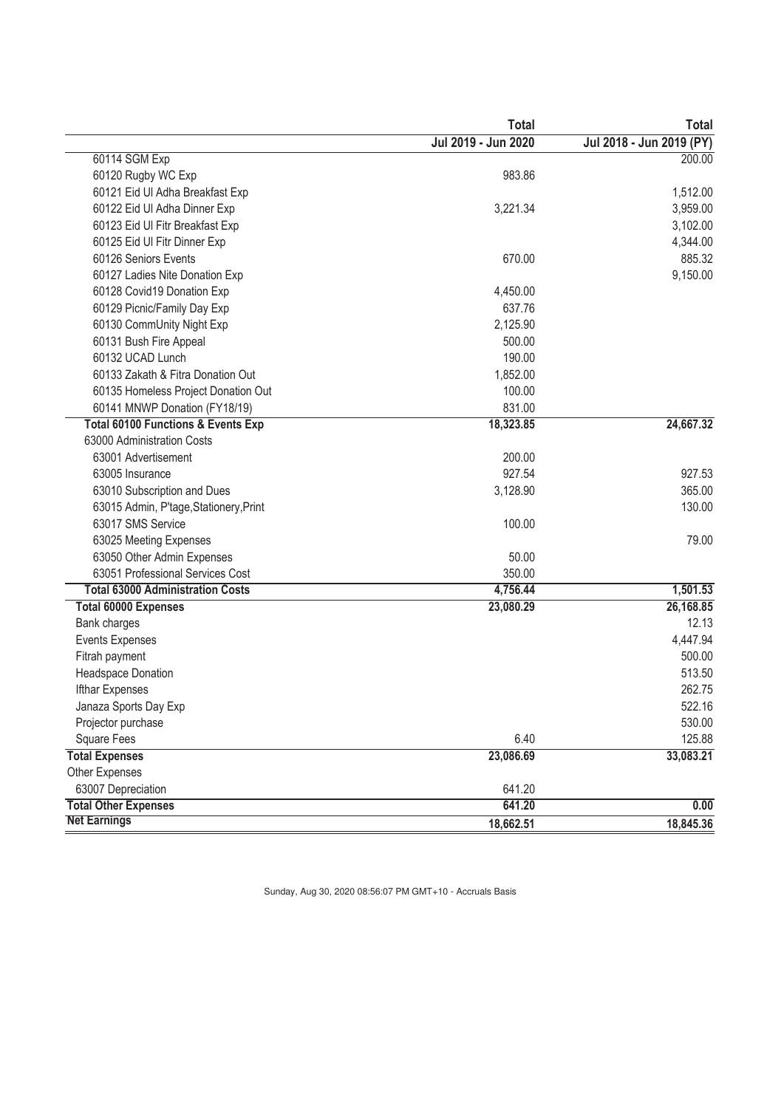|                                               | <b>Total</b>        | <b>Total</b>             |
|-----------------------------------------------|---------------------|--------------------------|
|                                               | Jul 2019 - Jun 2020 | Jul 2018 - Jun 2019 (PY) |
| 60114 SGM Exp                                 |                     | 200.00                   |
| 60120 Rugby WC Exp                            | 983.86              |                          |
| 60121 Eid UI Adha Breakfast Exp               |                     | 1,512.00                 |
| 60122 Eid UI Adha Dinner Exp                  | 3,221.34            | 3,959.00                 |
| 60123 Eid UI Fitr Breakfast Exp               |                     | 3,102.00                 |
| 60125 Eid UI Fitr Dinner Exp                  |                     | 4,344.00                 |
| 60126 Seniors Events                          | 670.00              | 885.32                   |
| 60127 Ladies Nite Donation Exp                |                     | 9,150.00                 |
| 60128 Covid19 Donation Exp                    | 4,450.00            |                          |
| 60129 Picnic/Family Day Exp                   | 637.76              |                          |
| 60130 CommUnity Night Exp                     | 2,125.90            |                          |
| 60131 Bush Fire Appeal                        | 500.00              |                          |
| 60132 UCAD Lunch                              | 190.00              |                          |
| 60133 Zakath & Fitra Donation Out             | 1,852.00            |                          |
| 60135 Homeless Project Donation Out           | 100.00              |                          |
| 60141 MNWP Donation (FY18/19)                 | 831.00              |                          |
| <b>Total 60100 Functions &amp; Events Exp</b> | 18,323.85           | 24,667.32                |
| 63000 Administration Costs                    |                     |                          |
| 63001 Advertisement                           | 200.00              |                          |
| 63005 Insurance                               | 927.54              | 927.53                   |
| 63010 Subscription and Dues                   | 3,128.90            | 365.00                   |
| 63015 Admin, P'tage, Stationery, Print        |                     | 130.00                   |
| 63017 SMS Service                             | 100.00              |                          |
| 63025 Meeting Expenses                        |                     | 79.00                    |
| 63050 Other Admin Expenses                    | 50.00               |                          |
| 63051 Professional Services Cost              | 350.00              |                          |
| <b>Total 63000 Administration Costs</b>       | 4,756.44            | 1,501.53                 |
| <b>Total 60000 Expenses</b>                   | 23,080.29           | 26,168.85                |
| Bank charges                                  |                     | 12.13                    |
| <b>Events Expenses</b>                        |                     | 4,447.94                 |
| Fitrah payment                                |                     | 500.00                   |
| Headspace Donation                            |                     | 513.50                   |
| Ifthar Expenses                               |                     | 262.75                   |
| Janaza Sports Day Exp                         |                     | 522.16                   |
| Projector purchase                            |                     | 530.00                   |
| <b>Square Fees</b>                            | 6.40                | 125.88                   |
| <b>Total Expenses</b>                         | 23,086.69           | 33,083.21                |
| <b>Other Expenses</b>                         |                     |                          |
| 63007 Depreciation                            | 641.20              |                          |
| <b>Total Other Expenses</b>                   | 641.20              | 0.00                     |
| <b>Net Earnings</b>                           | 18,662.51           | 18,845.36                |

Sunday, Aug 30, 2020 08:56:07 PM GMT+10 - Accruals Basis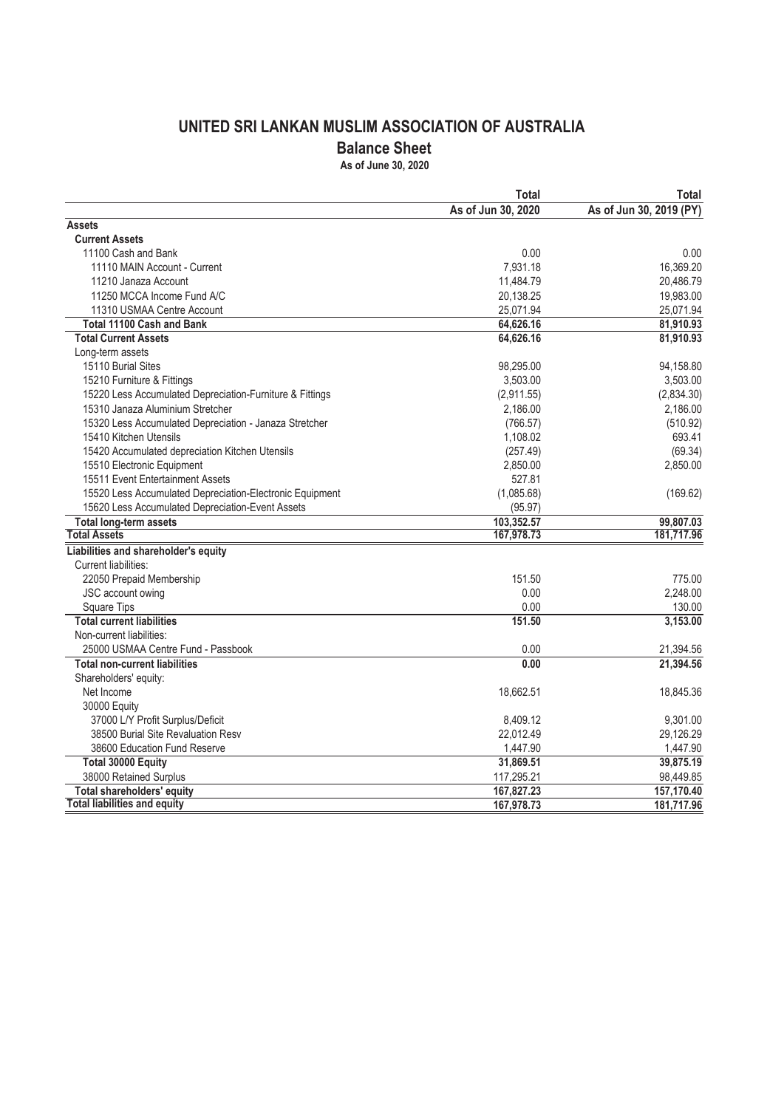## UNITED SRI LANKAN MUSLIM ASSOCIATION OF AUSTRALIA

**Balance Sheet** 

As of June 30, 2020

|                                                          | Total              | Total                   |
|----------------------------------------------------------|--------------------|-------------------------|
|                                                          | As of Jun 30, 2020 | As of Jun 30, 2019 (PY) |
| <b>Assets</b>                                            |                    |                         |
| <b>Current Assets</b>                                    |                    |                         |
| 11100 Cash and Bank                                      | 0.00               | 0.00                    |
| 11110 MAIN Account - Current                             | 7,931.18           | 16,369.20               |
| 11210 Janaza Account                                     | 11,484.79          | 20,486.79               |
| 11250 MCCA Income Fund A/C                               | 20,138.25          | 19,983.00               |
| 11310 USMAA Centre Account                               | 25,071.94          | 25,071.94               |
| <b>Total 11100 Cash and Bank</b>                         | 64,626.16          | 81,910.93               |
| <b>Total Current Assets</b>                              | 64,626.16          | 81,910.93               |
| Long-term assets                                         |                    |                         |
| 15110 Burial Sites                                       | 98,295.00          | 94,158.80               |
| 15210 Furniture & Fittings                               | 3,503.00           | 3,503.00                |
| 15220 Less Accumulated Depreciation-Furniture & Fittings | (2,911.55)         | (2,834.30)              |
| 15310 Janaza Aluminium Stretcher                         | 2,186.00           | 2,186.00                |
| 15320 Less Accumulated Depreciation - Janaza Stretcher   | (766.57)           | (510.92)                |
| 15410 Kitchen Utensils                                   | 1,108.02           | 693.41                  |
| 15420 Accumulated depreciation Kitchen Utensils          | (257.49)           | (69.34)                 |
| 15510 Electronic Equipment                               | 2,850.00           | 2,850.00                |
| 15511 Event Entertainment Assets                         | 527.81             |                         |
| 15520 Less Accumulated Depreciation-Electronic Equipment | (1,085.68)         | (169.62)                |
| 15620 Less Accumulated Depreciation-Event Assets         | (95.97)            |                         |
| <b>Total long-term assets</b>                            | 103,352.57         | 99,807.03               |
| <b>Total Assets</b>                                      | 167,978.73         | 181,717.96              |
| Liabilities and shareholder's equity                     |                    |                         |
| Current liabilities:                                     |                    |                         |
| 22050 Prepaid Membership                                 | 151.50             | 775.00                  |
| JSC account owing                                        | 0.00               | 2,248.00                |
| <b>Square Tips</b>                                       | 0.00               | 130.00                  |
| <b>Total current liabilities</b>                         | 151.50             | 3,153.00                |
| Non-current liabilities:                                 |                    |                         |
| 25000 USMAA Centre Fund - Passbook                       | 0.00               | 21,394.56               |
| <b>Total non-current liabilities</b>                     | 0.00               | 21,394.56               |
| Shareholders' equity:                                    |                    |                         |
| Net Income                                               | 18,662.51          | 18,845.36               |
| 30000 Equity                                             |                    |                         |
| 37000 L/Y Profit Surplus/Deficit                         | 8,409.12           | 9,301.00                |
| 38500 Burial Site Revaluation Resv                       | 22,012.49          | 29,126.29               |
| 38600 Education Fund Reserve                             | 1,447.90           | 1,447.90                |
| Total 30000 Equity                                       | 31,869.51          | 39,875.19               |
| 38000 Retained Surplus                                   | 117,295.21         | 98,449.85               |
| <b>Total shareholders' equity</b>                        | 167,827.23         | 157,170.40              |
| <b>Total liabilities and equity</b>                      | 167,978.73         | 181,717.96              |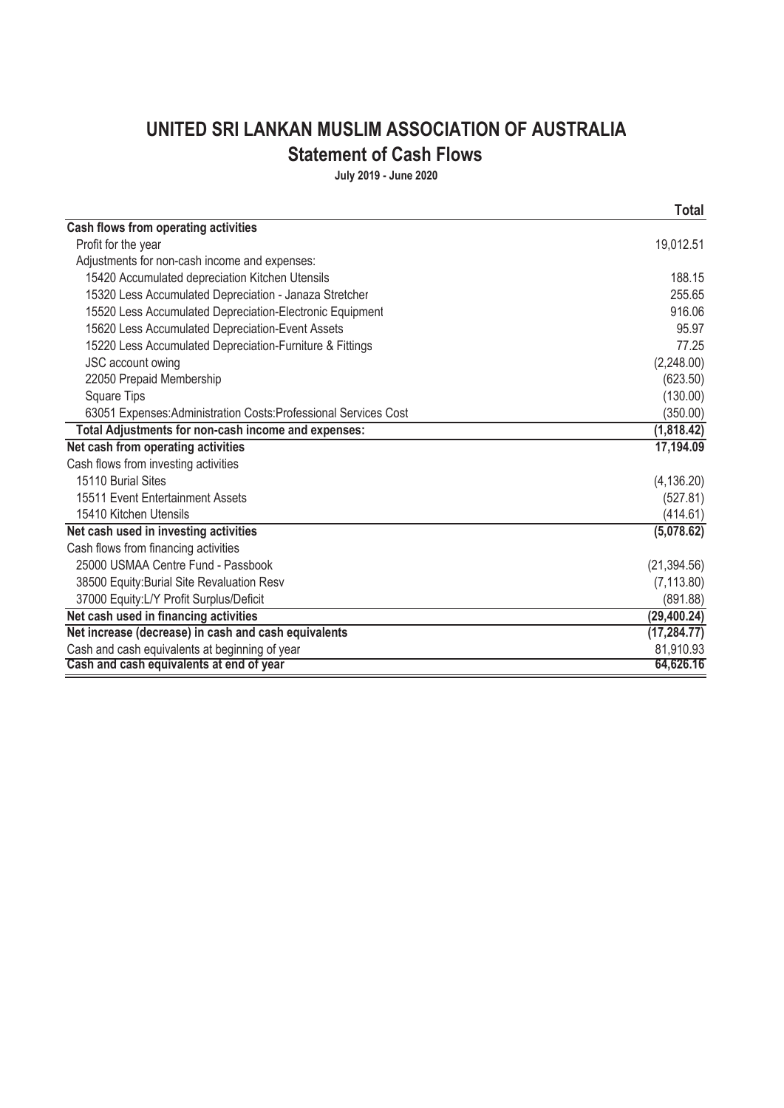## UNITED SRI LANKAN MUSLIM ASSOCIATION OF AUSTRALIA **Statement of Cash Flows**

July 2019 - June 2020

|                                                                  | <b>Total</b> |
|------------------------------------------------------------------|--------------|
| Cash flows from operating activities                             |              |
| Profit for the year                                              | 19,012.51    |
| Adjustments for non-cash income and expenses:                    |              |
| 15420 Accumulated depreciation Kitchen Utensils                  | 188.15       |
| 15320 Less Accumulated Depreciation - Janaza Stretcher           | 255.65       |
| 15520 Less Accumulated Depreciation-Electronic Equipment         | 916.06       |
| 15620 Less Accumulated Depreciation-Event Assets                 | 95.97        |
| 15220 Less Accumulated Depreciation-Furniture & Fittings         | 77.25        |
| JSC account owing                                                | (2,248.00)   |
| 22050 Prepaid Membership                                         | (623.50)     |
| <b>Square Tips</b>                                               | (130.00)     |
| 63051 Expenses: Administration Costs: Professional Services Cost | (350.00)     |
| Total Adjustments for non-cash income and expenses:              | (1,818.42)   |
| Net cash from operating activities                               | 17,194.09    |
| Cash flows from investing activities                             |              |
| 15110 Burial Sites                                               | (4, 136.20)  |
| 15511 Event Entertainment Assets                                 | (527.81)     |
| 15410 Kitchen Utensils                                           | (414.61)     |
| Net cash used in investing activities                            | (5,078.62)   |
| Cash flows from financing activities                             |              |
| 25000 USMAA Centre Fund - Passbook                               | (21, 394.56) |
| 38500 Equity: Burial Site Revaluation Resv                       | (7, 113.80)  |
| 37000 Equity: L/Y Profit Surplus/Deficit                         | (891.88)     |
| Net cash used in financing activities                            | (29, 400.24) |
| Net increase (decrease) in cash and cash equivalents             | (17, 284.77) |
| Cash and cash equivalents at beginning of year                   | 81,910.93    |
| Cash and cash equivalents at end of year                         | 64,626.16    |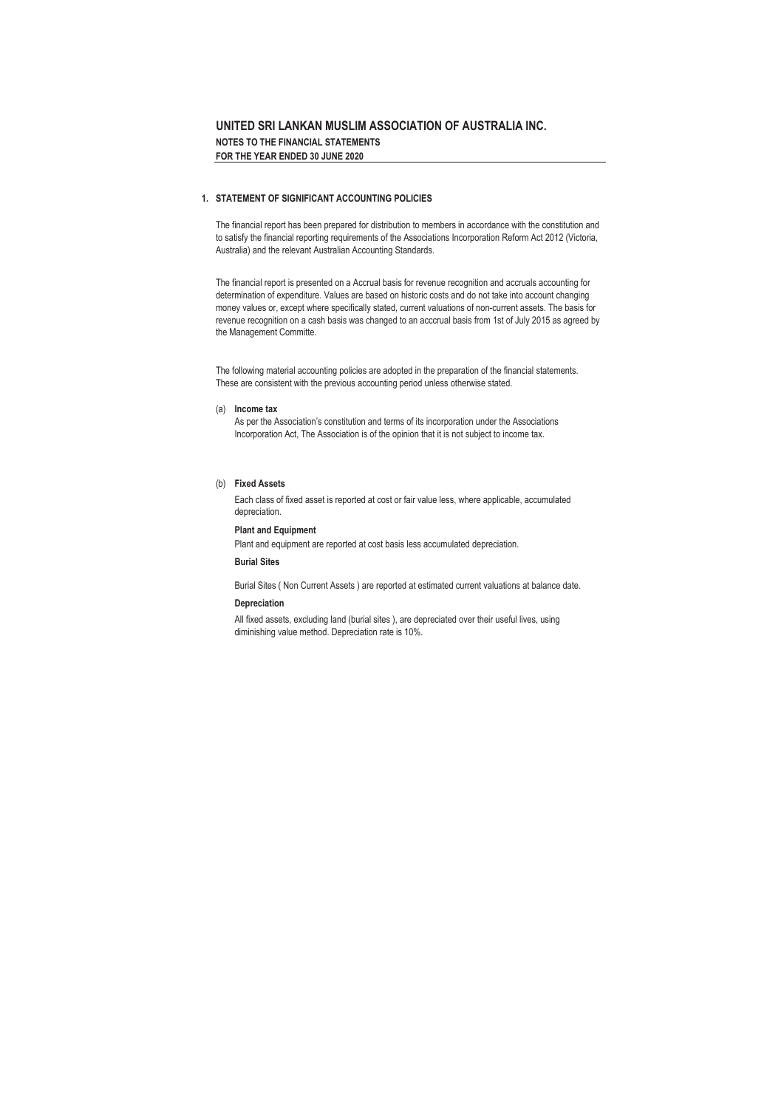#### 1. STATEMENT OF SIGNIFICANT ACCOUNTING POLICIES

The financial report has been prepared for distribution to members in accordance with the constitution and to satisfy the financial reporting requirements of the Associations Incorporation Reform Act 2012 (Victoria, Australia) and the relevant Australian Accounting Standards.

The financial report is presented on a Accrual basis for revenue recognition and accruals accounting for determination of expenditure. Values are based on historic costs and do not take into account changing money values or, except where specifically stated, current valuations of non-current assets. The basis for revenue recognition on a cash basis was changed to an acccrual basis from 1st of July 2015 as agreed by the Management Committe.

The following material accounting policies are adopted in the preparation of the financial statements. These are consistent with the previous accounting period unless otherwise stated.

#### (a) Income tax

As per the Association's constitution and terms of its incorporation under the Associations Incorporation Act, The Association is of the opinion that it is not subject to income tax.

#### (b) Fixed Assets

Each class of fixed asset is reported at cost or fair value less, where applicable, accumulated depreciation.

#### **Plant and Equipment**

Plant and equipment are reported at cost basis less accumulated depreciation.

#### **Burial Sites**

Burial Sites (Non Current Assets) are reported at estimated current valuations at balance date.

#### Depreciation

All fixed assets, excluding land (burial sites ), are depreciated over their useful lives, using diminishing value method. Depreciation rate is 10%.